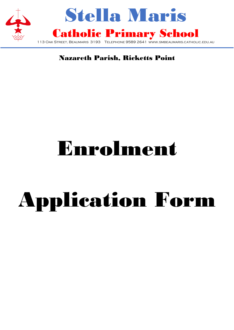

## Nazareth Parish, Ricketts Point

# Enrolment

# Application Form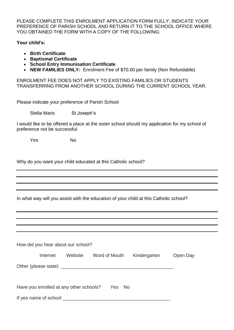PLEASE COMPLETE THIS ENROLMENT APPLICATION FORM FULLY, INDICATE YOUR PREFERENCE OF PARISH SCHOOL AND RETURN IT TO THE SCHOOL OFFICE WHERE YOU OBTAINED THE FORM WITH A COPY OF THE FOLLOWING:

**Your child's:**

- **Birth Certificate**
- **Baptismal Certificate**
- **School Entry Immunisation Certificate**
- **NEW FAMILIES ONLY:** Enrolment Fee of \$70.00 per family (Non Refundable)

ENROLMENT FEE DOES NOT APPLY TO EXISTING FAMILIES OR STUDENTS TRANSFERRING FROM ANOTHER SCHOOL DURING THE CURRENT SCHOOL YEAR.

Please indicate your preference of Parish School

Stella Maris St Joseph's

I would like to be offered a place at the sister school should my application for my school of preference not be successful.

Yes No

Why do you want your child educated at this Catholic school?

In what way will you assist with the education of your child at this Catholic school?

|                                                | How did you hear about our school? |         |                                                                                                                                                                                                                               |              |          |  |  |  |
|------------------------------------------------|------------------------------------|---------|-------------------------------------------------------------------------------------------------------------------------------------------------------------------------------------------------------------------------------|--------------|----------|--|--|--|
|                                                | Internet                           | Website | Word of Mouth                                                                                                                                                                                                                 | Kindergarten | Open Day |  |  |  |
|                                                |                                    |         | Other (please state) example a state of the state of the state of the state of the state of the state of the state of the state of the state of the state of the state of the state of the state of the state of the state of |              |          |  |  |  |
| Have you enrolled at any other schools? Yes No |                                    |         |                                                                                                                                                                                                                               |              |          |  |  |  |
|                                                | If yes name of school ________     |         |                                                                                                                                                                                                                               |              |          |  |  |  |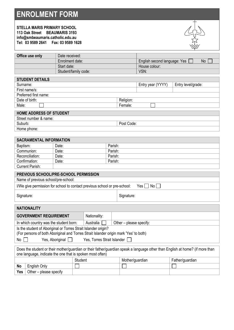## **ENROLMENT FORM**

| <b>STELLA MARIS PRIMARY SCHOOL</b>                                                                                            |                       |              |         |                 |                              |                    |
|-------------------------------------------------------------------------------------------------------------------------------|-----------------------|--------------|---------|-----------------|------------------------------|--------------------|
| 113 Oak Street                                                                                                                | <b>BEAUMARIS 3193</b> |              |         |                 |                              |                    |
| info@smbeaumaris.catholic.edu.au                                                                                              |                       |              |         |                 |                              |                    |
| Tel: 03 9589 2641   Fax: 03 9589 1628                                                                                         |                       |              |         |                 |                              |                    |
|                                                                                                                               |                       |              |         |                 |                              |                    |
| Office use only                                                                                                               | Date received:        |              |         |                 |                              |                    |
|                                                                                                                               | Enrolment date:       |              |         |                 | English second language: Yes | <b>No</b>          |
|                                                                                                                               | Start date:           |              |         |                 | House colour:                |                    |
|                                                                                                                               | Student/family code:  |              |         |                 | VSN:                         |                    |
| <b>STUDENT DETAILS</b>                                                                                                        |                       |              |         |                 |                              |                    |
| Surname:                                                                                                                      |                       |              |         |                 | Entry year (YYYY)            | Entry level/grade: |
| First name/s:                                                                                                                 |                       |              |         |                 |                              |                    |
| Preferred first name:                                                                                                         |                       |              |         |                 |                              |                    |
| Date of birth:                                                                                                                |                       |              |         | Religion:       |                              |                    |
| Male:                                                                                                                         |                       |              |         | Female:         |                              |                    |
|                                                                                                                               |                       |              |         |                 |                              |                    |
| <b>HOME ADDRESS OF STUDENT</b><br>Street number & name:                                                                       |                       |              |         |                 |                              |                    |
| Suburb:                                                                                                                       |                       |              |         | Post Code:      |                              |                    |
| Home phone:                                                                                                                   |                       |              |         |                 |                              |                    |
|                                                                                                                               |                       |              |         |                 |                              |                    |
| <b>SACRAMENTAL INFORMATION</b>                                                                                                |                       |              |         |                 |                              |                    |
| Baptism:                                                                                                                      | Date:                 |              | Parish: |                 |                              |                    |
| Communion:                                                                                                                    | Date:                 |              | Parish: |                 |                              |                    |
| Reconciliation:                                                                                                               | Date:                 |              | Parish: |                 |                              |                    |
| Confirmation:                                                                                                                 | Date:                 |              | Parish: |                 |                              |                    |
| <b>Current Parish:</b>                                                                                                        |                       |              |         |                 |                              |                    |
|                                                                                                                               |                       |              |         |                 |                              |                    |
| PREVIOUS SCHOOL/PRE-SCHOOL PERMISSION                                                                                         |                       |              |         |                 |                              |                    |
| Name of previous school/pre-school:                                                                                           |                       |              |         |                 |                              |                    |
| I/We give permission for school to contact previous school or pre-school:                                                     |                       |              |         |                 | Yes<br>No                    |                    |
| Signature:                                                                                                                    |                       |              |         | Signature:      |                              |                    |
|                                                                                                                               |                       |              |         |                 |                              |                    |
| <b>NATIONALITY</b>                                                                                                            |                       |              |         |                 |                              |                    |
|                                                                                                                               |                       |              |         |                 |                              |                    |
| <b>GOVERNMENT REQUIREMENT</b>                                                                                                 |                       | Nationality: |         |                 |                              |                    |
| Australia<br>In which country was the student born:<br>Other – please specify:                                                |                       |              |         |                 |                              |                    |
| Is the student of Aboriginal or Torres Strait Islander origin?                                                                |                       |              |         |                 |                              |                    |
| (For persons of both Aboriginal and Torres Strait Islander origin mark 'Yes' to both)                                         |                       |              |         |                 |                              |                    |
| Yes, Torres Strait Islander [<br>Yes, Aboriginal<br>No                                                                        |                       |              |         |                 |                              |                    |
|                                                                                                                               |                       |              |         |                 |                              |                    |
| Does the student or their mother/guardian or their father/guardian speak a language other than English at home? (if more than |                       |              |         |                 |                              |                    |
| one language, indicate the one that is spoken most often)                                                                     |                       |              |         |                 |                              |                    |
|                                                                                                                               | <b>Student</b>        |              |         | Mother/guardian |                              | Father/guardian    |
| English Only<br>No                                                                                                            |                       |              |         |                 |                              |                    |

Yes | Other – please specify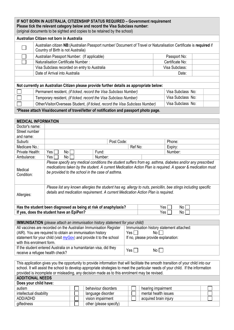**IF NOT BORN IN AUSTRALIA, CITIZENSHIP STATUS REQUIRED – Government requirement Please tick the relevant category below and record the Visa Subclass number:** (original documents to be sighted and copies to be retained by the school)

#### **Australian Citizen not born in Australia**

|                                                                                          | AUSTRIJALI GILIZEIT NOL DOLIT III AUSTRIJA                                                                                                                |                   |  |  |  |  |  |
|------------------------------------------------------------------------------------------|-----------------------------------------------------------------------------------------------------------------------------------------------------------|-------------------|--|--|--|--|--|
|                                                                                          | Australian citizen NB: (Australian Passport number/ Document of Travel or Naturalisation Certificate is required if<br>Country of Birth is not Australia) |                   |  |  |  |  |  |
|                                                                                          | Australian Passport Number: (If applicable)                                                                                                               | Passport No:      |  |  |  |  |  |
|                                                                                          | Naturalisation Certificate Number:                                                                                                                        | Certificate No:   |  |  |  |  |  |
|                                                                                          | Visa Subclass recorded on entry to Australia                                                                                                              | Visa Subclass:    |  |  |  |  |  |
|                                                                                          | Date of Arrival into Australia                                                                                                                            | Date:             |  |  |  |  |  |
|                                                                                          |                                                                                                                                                           |                   |  |  |  |  |  |
| Not currently an Australian Citizen please provide further details as appropriate below: |                                                                                                                                                           |                   |  |  |  |  |  |
|                                                                                          | Permanent resident, (if ticked, record the Visa Subclass Number)                                                                                          | Visa Subclass No: |  |  |  |  |  |
|                                                                                          | Temporary resident, (if ticked, record the Visa Subclass Number)                                                                                          | Visa Subclass No: |  |  |  |  |  |
|                                                                                          | Other/Visitor/Overseas Student, (if ticked, record the Visa Subclass Number)                                                                              | Visa Subclass No: |  |  |  |  |  |

**\*Please attach Visa/document of travel/letter of notification and passport photo page.**

#### **MEDICAL INFORMATION**

|                                                                                                                                                                                                                                                                             | Post Code: |                                                                 | Phone:        |  |  |  |
|-----------------------------------------------------------------------------------------------------------------------------------------------------------------------------------------------------------------------------------------------------------------------------|------------|-----------------------------------------------------------------|---------------|--|--|--|
|                                                                                                                                                                                                                                                                             |            | Ref No:                                                         | Expiry:       |  |  |  |
| Yes  <br>No                                                                                                                                                                                                                                                                 | Fund:      |                                                                 | Number:       |  |  |  |
| No<br>Yes I                                                                                                                                                                                                                                                                 | Number:    |                                                                 |               |  |  |  |
| Please specify any medical conditions the student suffers from eg. asthma, diabetes and/or any prescribed<br>medications taken by the student. A current Medication Action Plan is required. A spacer & medication must<br>be provided to the school in the case of asthma. |            |                                                                 |               |  |  |  |
| Please list any known allergies the student has eg. allergy to nuts, penicillin, bee stings including specific<br>details and medication requirement. A current Medication Action Plan is required.                                                                         |            |                                                                 |               |  |  |  |
|                                                                                                                                                                                                                                                                             |            | Yes l<br>No l                                                   |               |  |  |  |
| If yes, does the student have an EpiPen?                                                                                                                                                                                                                                    |            |                                                                 | Yes l<br>No l |  |  |  |
|                                                                                                                                                                                                                                                                             |            | Has the student been diagnosed as being at risk of anaphylaxis? |               |  |  |  |

| <b>IMMUNISATION</b> (please attach an immunisation history statement for your child) |                                          |  |  |  |  |
|--------------------------------------------------------------------------------------|------------------------------------------|--|--|--|--|
| All vaccines are recorded on the Australian Immunisation Register                    | Immunisation history statement attached: |  |  |  |  |
| (AIR). You are required to obtain an immunisation history                            | Yes $\Box$<br>No II                      |  |  |  |  |
| statement for your child (visit myGov) and provide it to the school                  | If no, please provide explanation:       |  |  |  |  |
| with this enrolment form.                                                            |                                          |  |  |  |  |
| If the student entered Australia on a humanitarian visa, did they                    | $Yes \Box$<br>Noll                       |  |  |  |  |
| receive a refugee health check?                                                      |                                          |  |  |  |  |

This application gives you the opportunity to provide information that will facilitate the smooth transition of your child into our school. It will assist the school to develop appropriate strategies to meet the particular needs of your child. If the information provided is incomplete or misleading, any decision made as to this enrolment may be revised.

#### **ADDITIONAL NEEDS Does your child have:**

| <b>DUES YOUI GITTA HAVE.</b> |                        |                       |  |
|------------------------------|------------------------|-----------------------|--|
| autism                       | behaviour disorders    | hearing impairment    |  |
| intellectual disability      | language disorder      | mental health issues  |  |
| ADD/ADHD                     | vision impairment      | acquired brain injury |  |
| giftedness                   | other (please specify) |                       |  |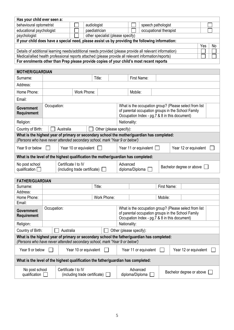| Has your child ever seen a:                                                                                                                                                                       |                           |                                      |  |                       |                                   |                                                        |                                                    |                                               |             |  |                                                        |  |  |
|---------------------------------------------------------------------------------------------------------------------------------------------------------------------------------------------------|---------------------------|--------------------------------------|--|-----------------------|-----------------------------------|--------------------------------------------------------|----------------------------------------------------|-----------------------------------------------|-------------|--|--------------------------------------------------------|--|--|
| behavioural optometrist                                                                                                                                                                           | audiologist               |                                      |  |                       |                                   |                                                        | speech pathologist                                 |                                               |             |  |                                                        |  |  |
| educational psychologist                                                                                                                                                                          | paediatrician             |                                      |  |                       |                                   |                                                        | occupational therapist                             |                                               |             |  |                                                        |  |  |
| psychologist                                                                                                                                                                                      |                           |                                      |  |                       | other specialist (please specify) |                                                        |                                                    |                                               |             |  |                                                        |  |  |
| If your child does have a special need, please assist us by providing the following information:                                                                                                  |                           |                                      |  |                       |                                   |                                                        |                                                    |                                               |             |  |                                                        |  |  |
| Yes                                                                                                                                                                                               |                           |                                      |  |                       |                                   |                                                        | No                                                 |                                               |             |  |                                                        |  |  |
| Details of additional learning needs/additional needs provided (please provide all relevant information)                                                                                          |                           |                                      |  |                       |                                   |                                                        |                                                    |                                               |             |  |                                                        |  |  |
| Medical/allied health professional reports attached (please provide all relevant information/reports)<br>For enrolments other than Prep please provide copies of your child's most recent reports |                           |                                      |  |                       |                                   |                                                        |                                                    |                                               |             |  |                                                        |  |  |
|                                                                                                                                                                                                   |                           |                                      |  |                       |                                   |                                                        |                                                    |                                               |             |  |                                                        |  |  |
| <b>MOTHER/GUARDIAN</b>                                                                                                                                                                            |                           |                                      |  |                       |                                   |                                                        |                                                    |                                               |             |  |                                                        |  |  |
| Surname:                                                                                                                                                                                          |                           |                                      |  |                       | Title:                            |                                                        |                                                    | First Name:                                   |             |  |                                                        |  |  |
| Address:                                                                                                                                                                                          |                           |                                      |  |                       |                                   |                                                        |                                                    |                                               |             |  |                                                        |  |  |
| Home Phone:                                                                                                                                                                                       |                           |                                      |  | Work Phone:           |                                   |                                                        | Mobile:                                            |                                               |             |  |                                                        |  |  |
| Email:                                                                                                                                                                                            |                           |                                      |  |                       |                                   |                                                        |                                                    |                                               |             |  |                                                        |  |  |
|                                                                                                                                                                                                   | Occupation:               |                                      |  |                       |                                   |                                                        |                                                    |                                               |             |  | What is the occupation group? (Please select from list |  |  |
| <b>Government</b>                                                                                                                                                                                 |                           |                                      |  |                       |                                   |                                                        |                                                    |                                               |             |  | of parental occupation groups in the School Family     |  |  |
| Requirement                                                                                                                                                                                       |                           |                                      |  |                       |                                   |                                                        |                                                    | Occupation Index - pg.7 & 8 in this document) |             |  |                                                        |  |  |
| Religion:                                                                                                                                                                                         |                           |                                      |  |                       |                                   | Nationality:                                           |                                                    |                                               |             |  |                                                        |  |  |
| Country of Birth:                                                                                                                                                                                 |                           | Australia                            |  |                       | Other (please specify):           |                                                        |                                                    |                                               |             |  |                                                        |  |  |
| What is the highest year of primary or secondary school the mother/guardian has completed:                                                                                                        |                           |                                      |  |                       |                                   |                                                        |                                                    |                                               |             |  |                                                        |  |  |
| (Persons who have never attended secondary school, mark 'Year 9 or below')                                                                                                                        |                           |                                      |  |                       |                                   |                                                        |                                                    |                                               |             |  |                                                        |  |  |
| Year 9 or below                                                                                                                                                                                   |                           | Year 10 or equivalent                |  |                       |                                   |                                                        |                                                    | Year 11 or equivalent $\Box$                  |             |  | Year 12 or equivalent                                  |  |  |
| What is the level of the highest qualification the mother/guardian has completed:                                                                                                                 |                           |                                      |  |                       |                                   |                                                        |                                                    |                                               |             |  |                                                        |  |  |
| No post school                                                                                                                                                                                    |                           | Certificate I to IV                  |  |                       |                                   | Advanced                                               |                                                    |                                               |             |  |                                                        |  |  |
| qualification $\square$                                                                                                                                                                           |                           | (including trade certificate) $\Box$ |  |                       |                                   | diploma/Diploma                                        |                                                    |                                               |             |  | Bachelor degree or above                               |  |  |
|                                                                                                                                                                                                   |                           |                                      |  |                       |                                   |                                                        |                                                    |                                               |             |  |                                                        |  |  |
| <b>FATHER/GUARDIAN</b>                                                                                                                                                                            |                           |                                      |  |                       |                                   |                                                        |                                                    |                                               |             |  |                                                        |  |  |
| Surname:                                                                                                                                                                                          |                           |                                      |  |                       | Title:                            |                                                        |                                                    |                                               | First Name: |  |                                                        |  |  |
| Address:                                                                                                                                                                                          |                           |                                      |  |                       |                                   |                                                        |                                                    |                                               |             |  |                                                        |  |  |
| Home Phone:                                                                                                                                                                                       |                           |                                      |  |                       | Work Phone:                       |                                                        |                                                    |                                               | Mobile:     |  |                                                        |  |  |
| Email:                                                                                                                                                                                            |                           |                                      |  |                       |                                   |                                                        |                                                    |                                               |             |  |                                                        |  |  |
| <b>Government</b>                                                                                                                                                                                 | Occupation:               |                                      |  |                       |                                   | What is the occupation group? (Please select from list |                                                    |                                               |             |  |                                                        |  |  |
| <b>Requirement</b>                                                                                                                                                                                |                           |                                      |  |                       |                                   |                                                        | of parental occupation groups in the School Family |                                               |             |  |                                                        |  |  |
| Occupation Index - pg.7 & 8 in this document)                                                                                                                                                     |                           |                                      |  |                       |                                   |                                                        |                                                    |                                               |             |  |                                                        |  |  |
|                                                                                                                                                                                                   | Nationality:<br>Religion: |                                      |  |                       |                                   |                                                        |                                                    |                                               |             |  |                                                        |  |  |
| Other (please specify):<br>Country of Birth:<br>Australia<br>What is the highest year of primary or secondary school the father/guardian has completed:                                           |                           |                                      |  |                       |                                   |                                                        |                                                    |                                               |             |  |                                                        |  |  |
| (Persons who have never attended secondary school, mark 'Year 9 or below')                                                                                                                        |                           |                                      |  |                       |                                   |                                                        |                                                    |                                               |             |  |                                                        |  |  |
| Year 9 or below                                                                                                                                                                                   |                           |                                      |  | Year 10 or equivalent |                                   |                                                        |                                                    | Year 11 or equivalent                         |             |  | Year 12 or equivalent                                  |  |  |
| What is the level of the highest qualification the father/guardian has completed:                                                                                                                 |                           |                                      |  |                       |                                   |                                                        |                                                    |                                               |             |  |                                                        |  |  |
| No post school                                                                                                                                                                                    |                           | Certificate I to IV                  |  |                       |                                   |                                                        | Advanced                                           |                                               |             |  |                                                        |  |  |
| qualification<br>(including trade certificate) $\Box$                                                                                                                                             |                           |                                      |  |                       | diploma/Diploma                   |                                                        |                                                    | Bachelor degree or above                      |             |  |                                                        |  |  |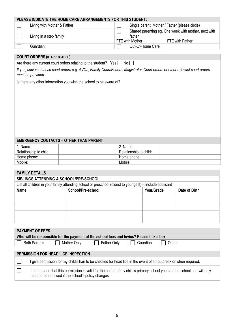|                                                                                                                                                                                          | PLEASE INDICATE THE HOME CARE ARRANGEMENTS FOR THIS STUDENT:                                                                 |                        |                                                                                                        |                                                |  |  |  |
|------------------------------------------------------------------------------------------------------------------------------------------------------------------------------------------|------------------------------------------------------------------------------------------------------------------------------|------------------------|--------------------------------------------------------------------------------------------------------|------------------------------------------------|--|--|--|
| Living with Mother & Father                                                                                                                                                              |                                                                                                                              |                        |                                                                                                        | Single parent: Mother / Father (please circle) |  |  |  |
|                                                                                                                                                                                          | Living in a step family                                                                                                      |                        | Shared parenting eg. One week with mother, next with<br>father<br>FTE with Mother:<br>FTE with Father: |                                                |  |  |  |
| Guardian                                                                                                                                                                                 |                                                                                                                              |                        | Out-Of-Home Care                                                                                       |                                                |  |  |  |
|                                                                                                                                                                                          |                                                                                                                              |                        |                                                                                                        |                                                |  |  |  |
| <b>COURT ORDERS (IF APPLICABLE)</b>                                                                                                                                                      |                                                                                                                              |                        |                                                                                                        |                                                |  |  |  |
|                                                                                                                                                                                          | Are there any current court orders relating to the student? Yes [                                                            | No I                   |                                                                                                        |                                                |  |  |  |
| must be provided.                                                                                                                                                                        | If yes, copies of these court orders e.g. AVOs, Family Court/Federal Magistrates Court orders or other relevant court orders |                        |                                                                                                        |                                                |  |  |  |
|                                                                                                                                                                                          |                                                                                                                              |                        |                                                                                                        |                                                |  |  |  |
|                                                                                                                                                                                          | <b>EMERGENCY CONTACTS - OTHER THAN PARENT</b>                                                                                |                        |                                                                                                        |                                                |  |  |  |
| 1. Name:                                                                                                                                                                                 |                                                                                                                              | 2. Name:               |                                                                                                        |                                                |  |  |  |
| Relationship to child:                                                                                                                                                                   |                                                                                                                              | Relationship to child: |                                                                                                        |                                                |  |  |  |
| Home phone:                                                                                                                                                                              |                                                                                                                              | Home phone:            |                                                                                                        |                                                |  |  |  |
| Mobile:                                                                                                                                                                                  |                                                                                                                              | Mobile:                |                                                                                                        |                                                |  |  |  |
| <b>FAMILY DETAILS</b>                                                                                                                                                                    |                                                                                                                              |                        |                                                                                                        |                                                |  |  |  |
| SIBLINGS ATTENDING A SCHOOL/PRE-SCHOOL                                                                                                                                                   |                                                                                                                              |                        |                                                                                                        |                                                |  |  |  |
|                                                                                                                                                                                          | List all children in your family attending school or preschool (oldest to youngest) – include applicant                      |                        |                                                                                                        |                                                |  |  |  |
| <b>Name</b>                                                                                                                                                                              | School/Pre-school                                                                                                            |                        | Year/Grade                                                                                             | Date of Birth                                  |  |  |  |
|                                                                                                                                                                                          |                                                                                                                              |                        |                                                                                                        |                                                |  |  |  |
|                                                                                                                                                                                          |                                                                                                                              |                        |                                                                                                        |                                                |  |  |  |
|                                                                                                                                                                                          |                                                                                                                              |                        |                                                                                                        |                                                |  |  |  |
|                                                                                                                                                                                          |                                                                                                                              |                        |                                                                                                        |                                                |  |  |  |
|                                                                                                                                                                                          |                                                                                                                              |                        |                                                                                                        |                                                |  |  |  |
|                                                                                                                                                                                          |                                                                                                                              |                        |                                                                                                        |                                                |  |  |  |
| <b>PAYMENT OF FEES</b>                                                                                                                                                                   |                                                                                                                              |                        |                                                                                                        |                                                |  |  |  |
|                                                                                                                                                                                          | Who will be responsible for the payment of the school fees and levies? Please tick a box                                     |                        |                                                                                                        |                                                |  |  |  |
| <b>Both Parents</b><br>Mother Only<br><b>Father Only</b><br>Guardian<br>Other:                                                                                                           |                                                                                                                              |                        |                                                                                                        |                                                |  |  |  |
|                                                                                                                                                                                          |                                                                                                                              |                        |                                                                                                        |                                                |  |  |  |
| PERMISSION FOR HEAD LICE INSPECTION                                                                                                                                                      |                                                                                                                              |                        |                                                                                                        |                                                |  |  |  |
| I give permission for my child's hair to be checked for head lice in the event of an outbreak or when required.                                                                          |                                                                                                                              |                        |                                                                                                        |                                                |  |  |  |
| I understand that this permission is valid for the period of my child's primary school years at the school and will only<br>$\sim$<br>need to be renewed if the school's policy changes. |                                                                                                                              |                        |                                                                                                        |                                                |  |  |  |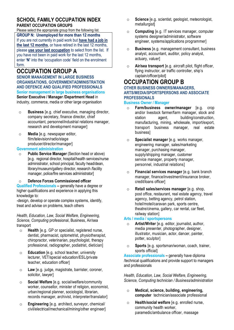#### **SCHOOL FAMILY OCCUPATION INDEX PARENT OCCUPATION GROUPS**

Please select the appropriate group from the following list.

**GROUP N: Unemployed for more than 12 months** If you are not currently in paid work but **have had a job in the last 12 months**, or have retired in the last 12 months, please **use your last occupation** to select from the list. If you have not been in paid work for the last 12 months, enter **'N'** into the 'occupation code' field on the enrolment form.

## **OCCUPATION GROUP A**

**SENIOR MANAGEMENT IN LARGE BUSINESS ORGANISATIONS, GOVERNMENTADMINISTRATION AND DEFENCE AND QUALIFIED PROFESSIONALS Senior management in large business organisations Senior Executive / Manager /Department Head** in industry, commerce, media or other large organisation

- o **Business** [e.g. chief executive, managing director, company secretary, finance director, chief accountant, personnel/industrial relations manager, research and development manager]
- o **Media** [e.g. newspaper editor, film/television/radio/stage producer/director/manager]

#### **Government administration**

o **Public Service Manager** (Section head or above) [e.g. regional director, hospital/health services/nurse administrator, school principal, faculty head/dean, library/museum/gallery director, research /facility manager, police/fire services administrator]

#### o **Defence Forces Commissioned officer**

**Qualified Professionals –** generally have a degree or higher qualifications and experience in applying this knowledge to:

-design, develop or operate complex systems, identify, treat and advise on problems, teach others

*Health, Education, Law, Social Welfare, Engineering, Science, Computing* professional, Business, Air/sea transport

- o **Health** [e.g. GP or specialist, registered nurse, dentist, pharmacist, optometrist, physiotherapist, chiropractor, veterinarian, psychologist, therapy professional, radiographer, podiatrist, dietician]
- o **Education** [e.g. school teacher, university lecturer, VET/special education/ESL/private teacher, education officer]
- o **Law** [e.g. judge, magistrate, barrister, coroner, solicitor, lawyer]
- o **Social Welfare** [e.g. social/welfare/community worker, counsellor, minister of religion, economist, urban/regional planner, sociologist, librarian, records manager, archivist, interpreter/translator]
- o **Engineering** [e.g. architect, surveyor, chemical/ civil/electrical/mechanical/mining/other engineer]
- o **Science** [e.g. scientist, geologist, meteorologist, metallurgistl
- o **Computing** [e.g. IT services manager, computer systems designer/administrator, software engineer, systems/applications programmer]
- o **Business** [e.g. management consultant, business analyst, accountant, auditor, policy analyst, actuary, valuer]
- o **Air/sea transport** [e.g. aircraft pilot, flight officer, flying instructor, air traffic controller, ship's captain/officer/pilot]

#### **OCCUPATION GROUP B OTHER BUSINESS OWNERS/MANAGERS,**

**ARTS/MEDIA/SPORTSPERSONS AND ASSOCIATE PROFESSIONALS** 

#### **Business Owner / Manager**

- o **Farm/business owner/manager** [e.g. crop and/or livestock farmer/farm manager, stock and station agent. building/construction, manufacturing, mining, wholesale, import/export, transport business manager, real estate business]
- o **Specialist manager** [e.g. works manager, engineering manager, sales/marketing manager, purchasing manager, supply/shipping manager, customer service manager, property manager, personnel, industrial relations]
- o **Financial services manager** [e.g. bank branch manager, finance/investment/insurance broker, credit/loans officer]
- o **Retail sales/services manager** [e.g. shop, post office, restaurant, real estate agency, travel agency, betting agency, petrol station, hotel/motel/caravan park, sports centre, theatre/cinema, gallery, car rental, car fleet, railway station]

#### **Arts / media / sportspersons**

- o **Artist/Writer** [e.g. editor, journalist, author, media presenter, photographer, designer, illustrator, musician, actor, dancer, painter, potter, sculptor]
- o **Sports** [e.g. sportsman/woman, coach, trainer, sports official]

**Associate professionals –** generally have diploma /technical qualifications and provide support to managers and professionals

*Health, Education, Law, Social Welfare, Engineering, Science, Computing technician / Business/administration*

- o **Medical, science, building, engineering, computer** technician/associate professional
- o **Health/social welfare** [e.g. enrolled nurse, community health worker, paramedic/ambulance officer, massage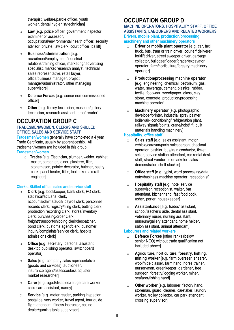therapist, welfare/parole officer, youth worker, dental hygienist/technicianl

- o **Law** [e.g. police officer, government inspector, examiner or assessor, occupational/environmental health officer, security advisor, private, law clerk, court officer, bailiff]
- o **Business/administration** [e.g. recruitment/employment/industrial relations/training officer, marketing/ advertising specialist, market research analyst, technical sales representative, retail buyer, office/business manager, project manager/administrator, other managing supervisors]
- o **Defence Forces** [e.g. senior non-commissioned officer]
- o **Other** [e.g. library technician, museum/gallery technician, research assistant, proof reader]

## **OCCUPATION GROUP C**

#### **TRADESMEN/WOMEN, CLERKS AND SKILLED OFFICE, SALES AND SERVICE STAFF**

**Tradesmen/women** generally have completed a 4 year Trade Certificate, usually by apprenticeship. All tradesmen/women are included in this group. **Tradesmen/women**

o **Trades** [e.g. Electrician, plumber, welder, cabinet maker, carpenter, joiner, plasterer, tiler, stonemason, painter decorator, butcher, pastry cook, panel beater, fitter, toolmaker, aircraft engineer]

#### **Clerks, Skilled office, sales and service staff**

- o **Clerk** [e.g. bookkeeper, bank clerk, PO clerk, statistical/actuarial clerk, accounts/claims/audit/ payroll clerk, personnel records clerk, registry/filing clerk, betting clerk, production recording clerk, stores/inventory clerk, purchasing/order clerk, freight/transport/shipping clerk/despatcher, bond clerk, customs agent/clerk, customer inquiry/complaints/service clerk, hospital admissions clerk]
- o **Office** [e.g. secretary, personal assistant, desktop publishing operator, switchboard operator]
- o **Sales** [e.g. company sales representative (goods and services), auctioneer, insurance agent/assessor/loss adjuster, market researcher]
- o **Carer** [e.g. aged/disabled/refuge care worker, child care assistant, nanny]
- o **Service** [e.g. meter reader, parking inspector, postal delivery worker, travel agent, tour guide, flight attendant, fitness instructor, casino dealer/gaming table supervisor]

## **OCCUPATION GROUP D**

#### **MACHINE OPERATORS, HOSPITALITY STAFF, OFFICE ASSISTANTS, LABOURERS AND RELATED WORKERS Drivers, mobile plant, production/processing machinery and other machinery operators**

- o **Driver or mobile plant operator** [e.g. car, taxi, truck, bus, tram or train driver, courier/ deliverer, forklift driver, street sweeper driver, garbage collector, bulldozer/loader/grader/excavator operator, farm/horticulture/forestry machinery operator]
- o **Production/processing machine operator** [e.g. engineering, chemical, petroleum, gas, water, sewerage, cement, plastics, rubber, textile, footwear, wood/paper, glass, clay, stone, concrete, production/processing machine operator]
- o **Machinery operator** [e.g. photographic developer/printer, industrial spray painter, boiler/air- conditioning/ refrigeration plant, railway signals/points, crane/hoist/lift, bulk materials handling machinery]

#### **Hospitality, office staff**

- o **Sales staff** [e.g. sales assistant, motor vehicle/caravan/parts salesperson, checkout operator, cashier, bus/train conductor, ticket seller, service station attendant, car rental desk staff, street vendor, telemarketer, sales demonstrator, shelf stacker]
- o **Office staff** [e.g. typist, word processing/data entry/business machine operator, receptionist]
- o **Hospitality staff** [e.g. hotel service supervisor, receptionist, waiter, bar attendant, kitchenhand, fast food cook, usher, porter, housekeeper]
- o **Assistant/aide** [e.g. trades' assistant, school/teacher's aide, dental assistant, veterinary nurse, nursing assistant, museum/gallery attendant, home helper, salon assistant, animal attendant]

#### **Labourers and related workers**

- o **Defence Forces** [other ranks (below senior NCO) without trade qualification not included above]
- o **Agriculture, horticulture, forestry, fishing, mining worker** [e.g. farm overseer, shearer, wool/hide classer, farm hand, horse trainer, nurseryman, greenkeeper, gardener, tree surgeon, forestry/logging worker, miner, seafarer/fishing hand]
- o **Other worker** [e.g. labourer, factory hand, storeman, guard, cleaner, caretaker, laundry worker, trolley collector, car park attendant, crossing supervisor]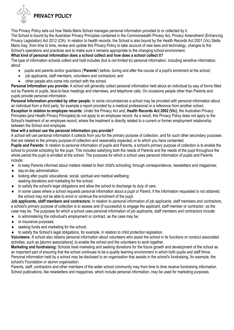

This Privacy Policy sets out how Stella Maris School manages personal information provided to or collected by it. The School is bound by the Australian Privacy Principles contained in the Commonwealth Privacy Act, Privacy Amendment (Enhancing Privacy Legislation) Act 2012 (Cth). In relation to health records, the School is also bound by the Health Records Act 2001 (Vic) Stella Maris may, from time to time, review and update this Privacy Policy to take account of new laws and technology, changes to the School's operations and practices and to make sure it remains appropriate to the changing school environment.

#### **What kind of personal information does a school collect and how does a school collect it?**

The type of information schools collect and hold includes (but is not limited to) personal information, including sensitive information, about:

- pupils and parents and/or guardians ('**Parents**') before, during and after the course of a pupil's enrolment at the school;
- job applicants, staff members, volunteers and contractors; and
- other people who come into contact with the school.

**Personal Information you provide:** A school will generally collect personal information held about an individual by way of forms filled out by Parents or pupils, face-to-face meetings and interviews, and telephone calls. On occasions people other than Parents and pupils provide personal information.

**Personal Information provided by other people:** In some circumstances a school may be provided with personal information about an individual from a third party, for example a report provided by a medical professional or a reference from another school.

**Exception in relation to employee records**: Under the Privacy Act and**, Health Records Act 2002 (Vic)**, the Australian Privacy Principles [and Health Privacy Principles] do not apply to an employee record. As a result, this Privacy Policy does not apply to the School's treatment of an employee record, where the treatment is directly related to a current or former employment relationship between the School and employee.

#### **How will a school use the personal information you provide?**

A school will use personal information it collects from you for the primary purpose of collection, and for such other secondary purposes that are related to the primary purpose of collection and reasonably expected, or to which you have consented.

**Pupils and Parents:** In relation to personal information of pupils and Parents, a school's primary purpose of collection is to enable the school to provide schooling for the pupil. This includes satisfying both the needs of Parents and the needs of the pupil throughout the whole period the pupil is enrolled at the school. The purposes for which a school uses personal information of pupils and Parents include:

- to keep Parents informed about matters related to their child's schooling, through correspondence, newsletters and magazines;
- day-to-day administration;
- looking after pupils' educational, social, spiritual and medical wellbeing;
- seeking donations and marketing for the school;
- to satisfy the school's legal obligations and allow the school to discharge its duty of care.
- $\bullet$  In some cases where a school requests personal information about a pupil or Parent, if the information requested is not obtained. the school may not be able to enrol or continue the enrolment of the pupil.

**Job applicants, staff members and contractors:** In relation to personal information of job applicants, staff members and contractors, a school's primary purpose of collection is to assess and (if successful) to engage the applicant, staff member or contractor, as the case may be. The purposes for which a school uses personal information of job applicants, staff members and contractors include:

- $\bullet$  in administering the individual's employment or contract, as the case may be;
- ◆ or insurance purposes:
- ◆ seeking funds and marketing for the school;
- to satisfy the School's legal obligations, for example, in relation to child protection legislation.

**Volunteers:** A school also obtains personal information about volunteers who assist the school in its functions or conduct associated activities, such as [alumni associations], to enable the school and the volunteers to work together.

**Marketing and fundraising:** Schools treat marketing and seeking donations for the future growth and development of the school as an important part of ensuring that the school continues to be a quality learning environment in which both pupils and staff thrive. Personal information held by a school may be disclosed to an organisation that assists in the school's fundraising, for example, the school's Foundation or alumni organisation.

Parents, staff, contractors and other members of the wider school community may from time to time receive fundraising information. School publications, like newsletters and magazines, which include personal information, may be used for marketing purposes.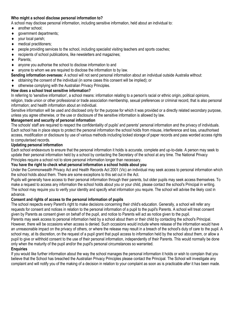#### **Who might a school disclose personal information to?**

A school may disclose personal information, including sensitive information, held about an individual to:

- ◆ another school;
- ◆ government departments;
- ◆ your local parish;
- $\leftarrow$  medical practitioners;
- people providing services to the school, including specialist visiting teachers and sports coaches;
- ◆ recipients of school publications, like newsletters and magazines:
- ◆ Parents:
- anyone you authorise the school to disclose information to and
- anyone to whom we are required to disclose the information to by law.
- **Sending information overseas:** A school will not send personal information about an individual outside Australia without:
- $\bullet$  obtaining the consent of the individual (in some cases this consent will be implied); or
- otherwise complying with the Australian Privacy Principles.

#### **How does a school treat sensitive information?**

In referring to 'sensitive information', a school means: information relating to a person's racial or ethnic origin, political opinions, religion, trade union or other professional or trade association membership, sexual preferences or criminal record, that is also personal information; and health information about an individual.

Sensitive information will be used and disclosed only for the purpose for which it was provided or a directly related secondary purpose, unless you agree otherwise, or the use or disclosure of the sensitive information is allowed by law.

#### **Management and security of personal information**

The schools' staff are required to respect the confidentiality of pupils' and parents' personal information and the privacy of individuals. Each school has in place steps to protect the personal information the school holds from misuse, interference and loss, unauthorised access, modification or disclosure by use of various methods including locked storage of paper records and pass worded access rights to computerised records.

#### **Updating personal information**

Each school endeavours to ensure that the personal information it holds is accurate, complete and up-to-date. A person may seek to update their personal information held by a school by contacting the Secretary of the school at any time. The National Privacy Principles require a school not to store personal information longer than necessary.

#### **You have the right to check what personal information a school holds about you**

Under the Commonwealth Privacy Act and Health Records Act 2001 (Vic) an individual may seek access to personal information which the school holds about them. There are some exceptions to this set out in the Act.

Pupils will generally have access to their personal information through their parents, but older pupils may seek access themselves. To make a request to access any information the school holds about you or your child, please contact the school's Principal in writing. The school may require you to verify your identity and specify what information you require. The school will advise the likely cost in advance.

#### **Consent and rights of access to the personal information of pupils**

The school respects every Parent's right to make decisions concerning their child's education. Generally, a school will refer any requests for consent and notices in relation to the personal information of a pupil to the pupil's Parents. A school will treat consent given by Parents as consent given on behalf of the pupil, and notice to Parents will act as notice given to the pupil.

Parents may seek access to personal information held by a school about them or their child by contacting the school's Principal. However, there will be occasions when access is denied. Such occasions would include where release of the information would have an unreasonable impact on the privacy of others, or where the release may result in a breach of the school's duty of care to the pupil. A school may, at its discretion, on the request of a pupil grant that pupil access to information held by the school about them, or allow a pupil to give or withhold consent to the use of their personal information, independently of their Parents. This would normally be done only when the maturity of the pupil and/or the pupil's personal circumstances so warranted.

#### **Enquiries**

If you would like further information about the way the school manages the personal information it holds or wish to complain that you believe that the School has breached the Australian Privacy Principles please contact the Principal. The School will investigate any complaint and will notify you of the making of a decision in relation to your complaint as soon as is practicable after it has been made.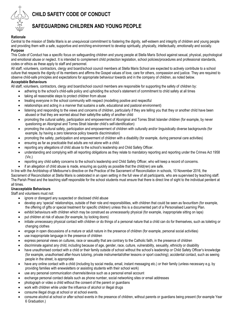## **CHILD SAFETY CODE OF CONDUCT**



### **SAFEGUARDING CHILDREN AND YOUNG PEOPLE**

#### **Rationale**

Central to the mission of Stella Maris is an unequivocal commitment to fostering the dignity, self-esteem and integrity of children and young people and providing them with a safe, supportive and enriching environment to develop spiritually, physically, intellectually, emotionally and socially. **Purpose**

This Code of Conduct has a specific focus on safeguarding children and young people at Stella Maris School against sexual, physical, psychological and emotional abuse or neglect. It is intended to complement child protection legislation, school policies/procedures and professional standards, codes or ethics as these apply to staff and personnel.

All staff, volunteers, contractors, clergy and board/school council members at Stella Maris School are expected to actively contribute to a school culture that respects the dignity of its members and affirms the Gospel values of love, care for others, compassion and justice. They are required to observe child-safe principles and expectations for appropriate behaviour towards and in the company of children, as noted below. **Acceptable Behaviours**

All staff, volunteers, contractors, clergy and board/school council members are responsible for supporting the safety of children by:

- adhering to the school's child-safe policy and upholding the school's statement of commitment to child safety at all times
- taking all reasonable steps to protect children from abuse
- treating everyone in the school community with respect (modelling positive and respectful
- relationships and acting in a manner that sustains a safe, educational and pastoral environment)
- listening and responding to the views and concerns of children, particularly if they are telling you that they or another child have been abused or that they are worried about their safety/the safety of another child
- promoting the cultural safety, participation and empowerment of Aboriginal and Torres Strait Islander children (for example, by never questioning an Aboriginal and Torres Strait Islander child's self-identification)
- promoting the cultural safety, participation and empowerment of children with culturally and/or linguistically diverse backgrounds (for example, by having a zero tolerance policy towards discrimination)
- promoting the safety, participation and empowerment of children with a disability (for example, during personal care activities)
- ensuring as far as practicable that adults are not alone with a child.
- reporting any allegations of child abuse to the school's leadership and Child Safety Officer.
- understanding and complying with all reporting obligations as they relate to mandatory reporting and reporting under the Crimes Act 1958 (Vic.)
- reporting any child safety concerns to the school's leadership and Child Safety Officer, who will keep a record of concerns.
- if an allegation of child abuse is made, ensuring as quickly as possible that the child(ren) are safe.

In line with the Archbishop of Melbourne's directive on the Practice of the Sacrament of Reconciliation in schools, 10 November 2016, the Sacrament of Reconciliation at Stella Maris is celebrated in an open setting in the full view of all participants, who are supervised by teaching staff. The Parish Priest and the teaching staff responsible for the school students must ensure that there is direct line of sight to the individual penitent at all times.

#### **Unacceptable Behaviours**

Staff and volunteers must not:

- ignore or disregard any suspected or disclosed child abuse
- develop any 'special' relationships, outside of their role and responsibilities, with children that could be seen as favouritism (for example, the offering of gifts or special treatment for specific children) unless this is a documented part of a Personalised Learning Plan.
- exhibit behaviours with children which may be construed as unnecessarily physical (for example, inappropriate sitting on laps)
- put children at risk of abuse (for example, by locking doors)
- initiate unnecessary physical contact with children or do things of a personal nature that a child can do for themselves, such as toileting or changing clothes
- engage in open discussions of a mature or adult nature in the presence of children (for example, personal social activities)
- use inappropriate language in the presence of children
- express personal views on cultures, race or sexuality that are contrary to the Catholic faith, in the presence of children
- discriminate against any child, including because of age, gender, race, culture, vulnerability, sexuality, ethnicity or disability
- have unauthorised contact with a child or their family outside of school without the school's leadership or Child Safety Officer's knowledge (for example, unauthorised after-hours tutoring, private instrumental/other lessons or sport coaching); accidental contact, such as seeing people in the street, is appropriate
- have any online contact with a child (including by social media, email, instant messaging etc.) or their family (unless necessary e.g. by providing families with enewsletters or assisting students with their school work)
- use any personal communication channels/device such as a personal email account
- exchange personal contact details such as phone number, social networking sites or email addresses
- photograph or video a child without the consent of the parent or guardians
- work with children while under the influence of alcohol or illegal drugs
- consume illegal drugs at school or at school events.
- consume alcohol at school or after school events in the presence of children, without parents or guardians being present (for example Year 6 Graduation.)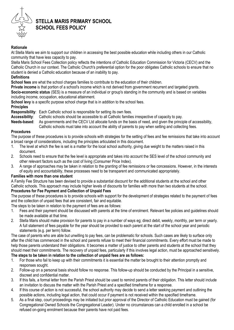

## **STELLA MARIS PRIMARY SCHOOL SCHOOL FEES POLICY**

#### **Rationale**

At Stella Maris we aim to support our children in accessing the best possible education while including others in our Catholic community that have less capacity to pay.

Stella Maris School Fees Collection policy reflects the intentions of Catholic Education Commission for Victoria (CECV) and the Catholic Church in our context. The Catholic Church's preferential option for the poor obligates Catholic schools to ensure that no student is denied a Catholic education because of an inability to pay.

#### **Definitions**

**School fees** are what the school charges families to contribute to the education of their children.

**Private income** is that portion of a school's income which is not derived from government recurrent and targeted grants. **Socio-economic status** (SES) is a measure of an individual or group's standing in the community and is based on variables including income, occupation, educational attainment.

**School levy** is a specific purpose school charge that is in addition to the school fees.

#### **Principles**

**Responsibility**: Each Catholic school is responsible for setting its own fees.

**Accessibility**: Catholic schools should be accessible to all Catholic families irrespective of capacity to pay.

**Needs-based**: As governments and the CECV Ltd allocate funds on the basis of need, and given the principle of accessibility,

Catholic schools must take into account the ability of parents to pay when setting and collecting fees.

#### **Procedures**

The purpose of these procedures is to provide schools with strategies for the setting of fees and fee remissions that take into account a broad range of considerations, including the principles articulated in this document.

- 1. The level at which the fee is set is a matter for the local school authority, giving due weight to the matters raised in this document.
- 2. Schools need to ensure that the fee level is appropriate and takes into account the SES level of the school community and other relevant factors such as the cost of living (Consumer Price Index).
- 3. A range of approaches may be taken in relation to the granting of fee remissions or fee concessions. However, in the interests of equity and accountability, these processes need to be transparent and communicated appropriately.

#### **Families with more than one student**

A Family Fee Structure has been devised to provide a substantial discount for the additional students at the school and other Catholic schools. This approach may include higher levels of discounts for families with more than two students at the school.

#### **Procedures for Fee Payment and Collection of Unpaid Fees**

The purpose of these procedures is to provide schools with support for the development of strategies related to the payment of fees and the collection of unpaid fees that are consistent, fair and equitable.

The steps to be taken in relation to the payment of fees are as follows:

- 1. Fees and their payment should be discussed with parents at the time of enrolment. Relevant fee policies and guidelines should be made available at that time.
- 2. Stella Maris should make provision for parents to pay in a number of ways eg; direct debit, weekly, monthly, per term or yearly. A full statement of fees payable for the year should be provided to each parent at the start of the school year and periodic statements (e.g. per term) follow.

The case of parents who are able but unwilling to pay fees, can be problematic for schools. Such cases are likely to surface only after the child has commenced in the school and parents refuse to meet their financial commitments. Every effort must be made to help those parents understand their obligations. It becomes a matter of justice to other parents and students at the school that they should meet their commitments. The recovery of unpaid fees, particularly if this involves legal action, must be approached sensitively. **The steps to be taken in relation to the collection of unpaid fees are as follows:** 

- 1. For those who fail to keep up with their commitments it is essential the matter be brought to their attention promptly and responses sought.
- 2. Follow-up on a personal basis should follow no response. This follow-up should be conducted by the Principal in a sensitive, discreet and confidential matter.
- 3. If this fails, a formal letter from the Parish Priest should be used to remind parents of their obligation. This letter should include an invitation to discuss the matter with the Parish Priest and a specified timeframe for a response.
- 4. If this course of action is not successful, the school authority may decide to send a letter seeking payment and outlining the possible actions, including legal action, that could occur if payment is not received within the specified timeframe.
- 5. As a final step, court proceedings may be initiated but prior approval of the Director of Catholic Education must be gained (for Congregational Owned Schools the Congregational Leader). Under no circumstances can a child enrolled in a school be refused on-going enrolment because their parents have not paid fees.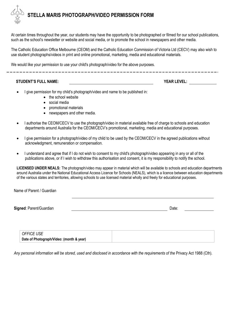## **STELLA MARIS PHOTOGRAPH/VIDEO PERMISSION FORM**

At certain times throughout the year, our students may have the opportunity to be photographed or filmed for our school publications, such as the school's newsletter or website and social media, or to promote the school in newspapers and other media.

The Catholic Education Office Melbourne (CEOM) and the Catholic Education Commission of Victoria Ltd (CECV) may also wish to use student photographs/videos in print and online promotional, marketing, media and educational materials.

We would like your permission to use your child's photograph/video for the above purposes.

#### **STUDENT'S FULL NAME: YEAR LEVEL:**

- I give permission for my child's photograph/video and name to be published in:
	- the school website
	- social media
	- promotional materials
	- newspapers and other media.
- I authorise the CEOM/CECV to use the photograph/video in material available free of charge to schools and education departments around Australia for the CEOM/CECV's promotional, marketing, media and educational purposes.
- I give permission for a photograph/video of my child to be used by the CEOM/CECV in the agreed publications without acknowledgment, remuneration or compensation.
- I understand and agree that if I do not wish to consent to my child's photograph/video appearing in any or all of the publications above, or if I wish to withdraw this authorisation and consent, it is my responsibility to notify the school.

**LICENSED UNDER NEALS:** The photograph/video may appear in material which will be available to schools and education departments around Australia under the National Educational Access Licence for Schools (NEALS), which is a licence between education departments of the various states and territories, allowing schools to use licensed material wholly and freely for educational purposes.

Name of Parent / Guardian

**Signed:** Parent/Guardian Date: **Date: Communist Communist Communist Communist Communist Communist Communist Communist Communist Communist Communist Communist Communist Communist Communist Communist Communist Communist C** 

| <b>OFFICE USE</b>                        |  |
|------------------------------------------|--|
| Date of Photograph/Video: (month & year) |  |

*Any personal information will be stored, used and disclosed in accordance with the requirements of the* Privacy Act 1988 (Cth)*.*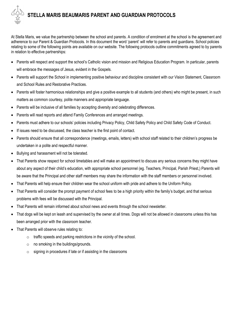## **STELLA MARIS BEAUMARIS PARENT AND GUARDIAN PROTOCOLS**

At Stella Maris, we value the partnership between the school and parents. A condition of enrolment at the school is the agreement and adherence to our Parent & Guardian Protocols. In this document the word 'parent' will refer to parents and guardians. School policies relating to some of the following points are available on our website. The following protocols outline commitments agreed to by parents in relation to effective partnerships:

- Parents will respect and support the school's Catholic vision and mission and Religious Education Program. In particular, parents will embrace the messages of Jesus, evident in the Gospels.
- Parents will support the School in implementing positive behaviour and discipline consistent with our Vision Statement, Classroom and School Rules and Restorative Practices.
- Parents will foster harmonious relationships and give a positive example to all students (and others) who might be present, in such matters as common courtesy, polite manners and appropriate language.
- Parents will be inclusive of all families by accepting diversity and celebrating differences.
- Parents will read reports and attend Family Conferences and arranged meetings.
- Parents must adhere to our schools' policies including Privacy Policy, Child Safety Policy and Child Safety Code of Conduct.
- If issues need to be discussed, the class teacher is the first point of contact.
- Parents should ensure that all correspondence (meetings, emails, letters) with school staff related to their children's progress be undertaken in a polite and respectful manner.
- Bullying and harassment will not be tolerated.
- That Parents show respect for school timetables and will make an appointment to discuss any serious concerns they might have about any aspect of their child's education, with appropriate school personnel (eg. Teachers, Principal, Parish Priest,) Parents will be aware that the Principal and other staff members may share the information with the staff members or personnel involved.
- That Parents will help ensure their children wear the school uniform with pride and adhere to the Uniform Policy.
- That Parents will consider the prompt payment of school fees to be a high priority within the family's budget, and that serious problems with fees will be discussed with the Principal.
- That Parents will remain informed about school news and events through the school newsletter.
- That dogs will be kept on leash and supervised by the owner at all times. Dogs will not be allowed in classrooms unless this has been arranged prior with the classroom teacher.
- That Parents will observe rules relating to:
	- o traffic speeds and parking restrictions in the vicinity of the school.
	- $\circ$  no smoking in the buildings/grounds.
	- $\circ$  signing in procedures if late or if assisting in the classrooms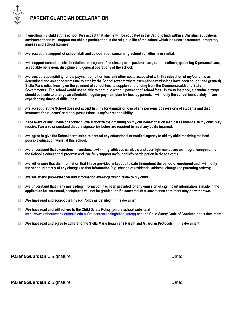## **PARENT GUARDIAN DECLARATION**

- **In enrolling my child at this school, I/we accept that she/he will be educated in the Catholic faith within a Christian educational environment and will support our child's participation in the religious life of the school which includes sacramental programs, masses and school liturgies.**
- **I/we accept that support of school staff and co-operation concerning school activities is essential.**
- □ I will support school policies in relation to program of studies, sports, pastoral care, school uniform, grooming & personal care, **acceptable behaviour, discipline and general operations of the school;**
- **I/we accept responsibility for the payment of tuition fees and other costs associated with the education of my/our child as determined and amended from time to time by the School (except where exemptions/remissions have been sought and granted). Stella Maris relies heavily on the payment of school fees to supplement funding from the Commonwealth and State Governments. The school would not be able to continue without payment of school fees. In every instance, a genuine attempt should be made to arrange an affordable, regular payment plan for fees by parents. I will notify the school immediately if I am experiencing financial difficulties;**
- **I/we accept that the School does not accept liability for damage or loss of any personal possessions of students and that insurance for students' personal possessions is my/our responsibility.**
- **In the event of any illness or accident, I/we authorize the obtaining on my/our behalf of such medical assistance as my child may require. I/we also understand that the signatories below are required to meet any costs incurred.**
- **I/we agree to give the School permission to contact any educational or medical agency to aid my child receiving the best possible education whilst at this school.**
- **I/we understand that excursions, incursions, swimming, athletics carnivals and overnight camps are an integral component of the School's educational program and I/we fully support my/our child's participation in these events.**
- **I/we will ensure that the information that I have provided is kept up to date throughout the period of enrolment and I will notify the school promptly of any changes to that information (e.g. change of residential address, changes to parenting orders);**
- **I/we will attend parent/teacher and information evenings which relate to my child.**
- **I/we understand that if any misleading information has been provided, or any omission of significant information is made in the application for enrolment, acceptance will not be granted; or if discovered after acceptance enrolment may be withdrawn.**
- **I/We have read and accept the Privacy Policy as detailed in this document.**
- **I/We have read and will adhere to the Child Safety Policy (on the school website at [http://www.smbeaumaris.catholic.edu.au/student-wellbeing/child-safety\)](http://www.smbeaumaris.catholic.edu.au/student-wellbeing/child-safety) and the Child Safety Code of Conduct in this document.**
- **I/We have read and agree to adhere to the Stella Maris Beaumaris Parent and Guardian Protocols in this document.**

**Parent/Guardian 1 Signature:**  $\qquad \qquad$  **Parent/Guardian 1 Signature:**  $\qquad \qquad$  **Date:**  $\qquad \qquad$ 

**Parent/Guardian 2** Signature: **Date:** Date: Date: Date: Date: Date: Date: Date: Date: Date: Date: Date: Date: Date: Date: Date: Date: Date: Date: Date: Date: Date: Date: Date: Date: Date: Date: Date: Date: Date: Date: Dat